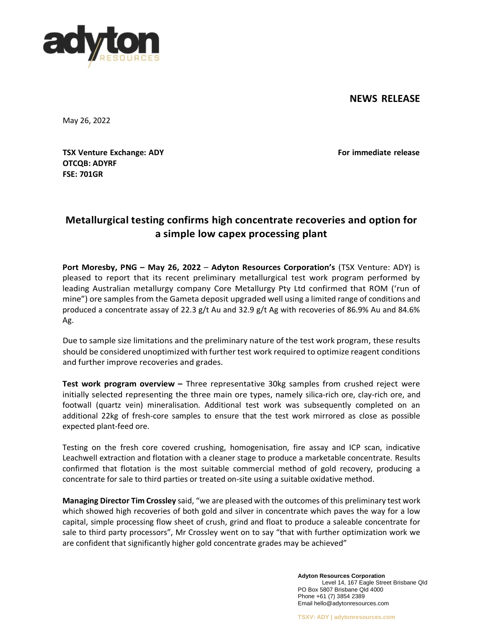## **NEWS RELEASE**



May 26, 2022

**TSX Venture Exchange: ADY For immediate release OTCQB: ADYRF FSE: 701GR**

# **Metallurgical testing confirms high concentrate recoveries and option for a simple low capex processing plant**

**Port Moresby, PNG – May 26, 2022** – **Adyton Resources Corporation's** (TSX Venture: ADY) is pleased to report that its recent preliminary metallurgical test work program performed by leading Australian metallurgy company Core Metallurgy Pty Ltd confirmed that ROM ('run of mine") ore samples from the Gameta deposit upgraded well using a limited range of conditions and produced a concentrate assay of 22.3 g/t Au and 32.9 g/t Ag with recoveries of 86.9% Au and 84.6% Ag.

Due to sample size limitations and the preliminary nature of the test work program, these results should be considered unoptimized with further test work required to optimize reagent conditions and further improve recoveries and grades.

**Test work program overview –** Three representative 30kg samples from crushed reject were initially selected representing the three main ore types, namely silica-rich ore, clay-rich ore, and footwall (quartz vein) mineralisation. Additional test work was subsequently completed on an additional 22kg of fresh-core samples to ensure that the test work mirrored as close as possible expected plant-feed ore.

Testing on the fresh core covered crushing, homogenisation, fire assay and ICP scan, indicative Leachwell extraction and flotation with a cleaner stage to produce a marketable concentrate. Results confirmed that flotation is the most suitable commercial method of gold recovery, producing a concentrate for sale to third parties or treated on-site using a suitable oxidative method.

**Managing Director Tim Crossley** said, "we are pleased with the outcomes of this preliminary test work which showed high recoveries of both gold and silver in concentrate which paves the way for a low capital, simple processing flow sheet of crush, grind and float to produce a saleable concentrate for sale to third party processors", Mr Crossley went on to say "that with further optimization work we are confident that significantly higher gold concentrate grades may be achieved"

> **Adyton Resources Corporation** Level 14, 167 Eagle Street Brisbane Qld PO Box 5807 Brisbane Qld 4000 Phone +61 (7) 3854 2389 Email [hello@adytonresources.com](mailto:hello@adytonresources.com)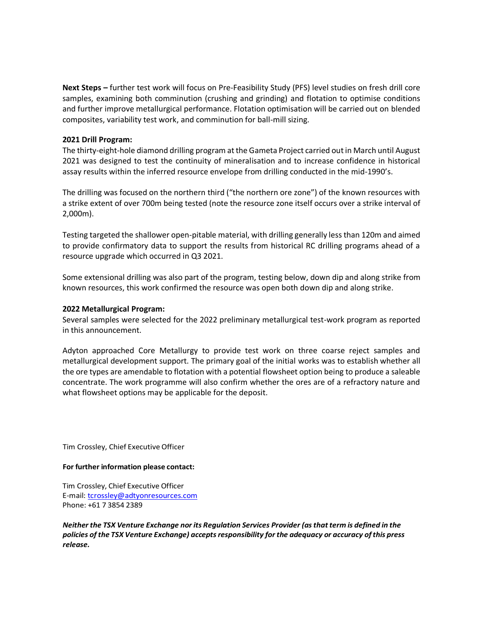**Next Steps –** further test work will focus on Pre-Feasibility Study (PFS) level studies on fresh drill core samples, examining both comminution (crushing and grinding) and flotation to optimise conditions and further improve metallurgical performance. Flotation optimisation will be carried out on blended composites, variability test work, and comminution for ball-mill sizing.

#### **2021 Drill Program:**

The thirty-eight-hole diamond drilling program at the Gameta Project carried out in March until August 2021 was designed to test the continuity of mineralisation and to increase confidence in historical assay results within the inferred resource envelope from drilling conducted in the mid-1990's.

The drilling was focused on the northern third ("the northern ore zone") of the known resources with a strike extent of over 700m being tested (note the resource zone itself occurs over a strike interval of 2,000m).

Testing targeted the shallower open-pitable material, with drilling generally less than 120m and aimed to provide confirmatory data to support the results from historical RC drilling programs ahead of a resource upgrade which occurred in Q3 2021.

Some extensional drilling was also part of the program, testing below, down dip and along strike from known resources, this work confirmed the resource was open both down dip and along strike.

### **2022 Metallurgical Program:**

Several samples were selected for the 2022 preliminary metallurgical test-work program as reported in this announcement.

Adyton approached Core Metallurgy to provide test work on three coarse reject samples and metallurgical development support. The primary goal of the initial works was to establish whether all the ore types are amendable to flotation with a potential flowsheet option being to produce a saleable concentrate. The work programme will also confirm whether the ores are of a refractory nature and what flowsheet options may be applicable for the deposit.

Tim Crossley, Chief Executive Officer

#### **For further information please contact:**

Tim Crossley, Chief Executive Officer E-mail: [tcrossley@adtyonresources.com](mailto:tcrossley@adtyonresources.com) Phone: +61 7 3854 2389

*Neither the TSX Venture Exchange nor its Regulation Services Provider (asthat term is defined in the policies of the TSX Venture Exchange) acceptsresponsibility forthe adequacy or accuracy ofthis press release.*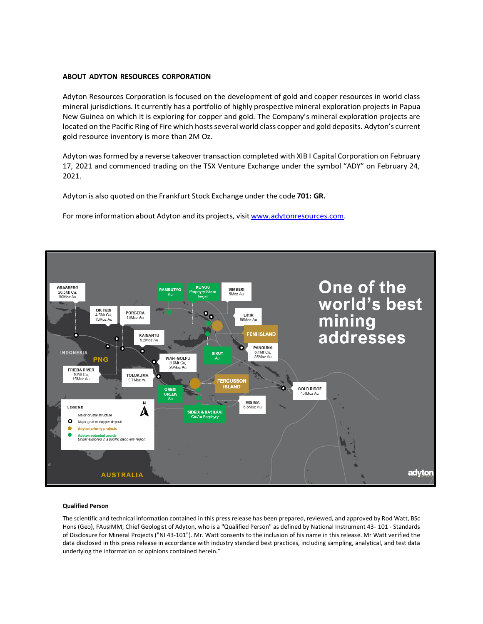#### **ABOUT ADYTON RESOURCES CORPORATION**

Adyton Resources Corporation is focused on the development of gold and copper resources in world class mineral jurisdictions. It currently has a portfolio of highly prospective mineral exploration projects in Papua New Guinea on which it is exploring for copper and gold. The Company's mineral exploration projects are located on the Pacific Ring of Fire which hosts several world class copper and gold deposits. Adyton's current gold resource inventory is more than 2M Oz.

Adyton was formed by a reverse takeover transaction completed with XIB I Capital Corporation on February 17, 2021 and commenced trading on the TSX Venture Exchange under the symbol "ADY" on February 24, 2021.

Adyton is also quoted on the Frankfurt Stock Exchange under the code **701: GR.**

For more information about Adyton and its projects, visit [www.adytonresources.com.](http://www.adytonresources.com/)



#### **Qualified Person**

The scientific and technical information contained in this press release has been prepared, reviewed, and approved by Rod Watt, BSc Hons (Geo), FAusIMM, Chief Geologist of Adyton, who is a "Qualified Person" as defined by National Instrument 43‐ 101 ‐ Standards of Disclosure for Mineral Projects ("NI 43‐101"). Mr. Watt consents to the inclusion of his name in this release. Mr Watt verified the data disclosed in this press release in accordance with industry standard best practices, including sampling, analytical, and test data underlying the information or opinions contained herein."